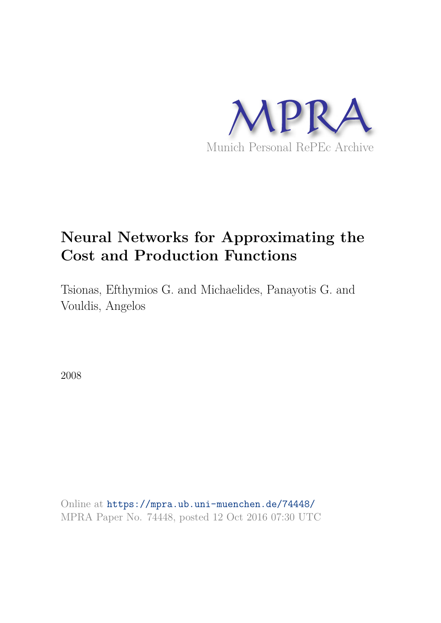

# **Neural Networks for Approximating the Cost and Production Functions**

Tsionas, Efthymios G. and Michaelides, Panayotis G. and Vouldis, Angelos

2008

Online at https://mpra.ub.uni-muenchen.de/74448/ MPRA Paper No. 74448, posted 12 Oct 2016 07:30 UTC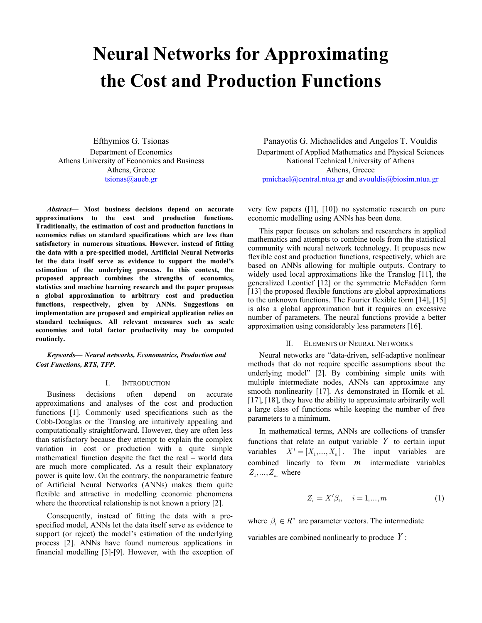# **Neural Networks for Approximating the Cost and Production Functions**

Efthymios G. Tsionas Department of Economics Athens University of Economics and Business Athens, Greece tsionas@aueb.gr

*Abstract***— Most business decisions depend on accurate approximations to the cost and production functions. Traditionally, the estimation of cost and production functions in economics relies on standard specifications which are less than satisfactory in numerous situations. However, instead of fitting the data with a pre-specified model, Artificial Neural Networks let the data itself serve as evidence to support the model's estimation of the underlying process. In this context, the proposed approach combines the strengths of economics, statistics and machine learning research and the paper proposes a global approximation to arbitrary cost and production functions, respectively, given by ANNs. Suggestions on implementation are proposed and empirical application relies on standard techniques. All relevant measures such as scale economies and total factor productivity may be computed routinely.**

*Keywords— Neural networks, Econometrics, Production and Cost Functions, RTS, TFP.*

### I. INTRODUCTION

Business decisions often depend on accurate approximations and analyses of the cost and production functions [1]. Commonly used specifications such as the Cobb-Douglas or the Translog are intuitively appealing and computationally straightforward. However, they are often less than satisfactory because they attempt to explain the complex variation in cost or production with a quite simple mathematical function despite the fact the real – world data are much more complicated. As a result their explanatory power is quite low. On the contrary, the nonparametric feature of Artificial Neural Networks (ANNs) makes them quite flexible and attractive in modelling economic phenomena where the theoretical relationship is not known a priory [2].

Consequently, instead of fitting the data with a prespecified model, ANNs let the data itself serve as evidence to support (or reject) the model's estimation of the underlying process [2]. ANNs have found numerous applications in financial modelling [3]-[9]. However, with the exception of

Panayotis G. Michaelides and Angelos T. Vouldis Department of Applied Mathematics and Physical Sciences National Technical University of Athens Athens, Greece pmichael@central.ntua.gr and avouldis@biosim.ntua.gr

very few papers ([1], [10]) no systematic research on pure economic modelling using ANNs has been done.

This paper focuses on scholars and researchers in applied mathematics and attempts to combine tools from the statistical community with neural network technology. It proposes new flexible cost and production functions, respectively, which are based on ANNs allowing for multiple outputs. Contrary to widely used local approximations like the Translog [11], the generalized Leontief [12] or the symmetric McFadden form [13] the proposed flexible functions are global approximations to the unknown functions. The Fourier flexible form [14], [15] is also a global approximation but it requires an excessive number of parameters. The neural functions provide a better approximation using considerably less parameters [16].

# II. ELEMENTS OF NEURAL NETWORKS

Neural networks are "data-driven, self-adaptive nonlinear methods that do not require specific assumptions about the underlying model" [2]. By combining simple units with multiple intermediate nodes, ANNs can approximate any smooth nonlinearity [17]. As demonstrated in Hornik et al. [17], [18], they have the ability to approximate arbitrarily well a large class of functions while keeping the number of free parameters to a minimum.

In mathematical terms, ANNs are collections of transfer functions that relate an output variable  $Y$  to certain input variables  $X' = [X_1, ..., X_n]$ . The input variables are combined linearly to form *m* intermediate variables  $Z_1, \ldots, Z_m$  where

$$
Z_i = X'\beta_i, \quad i = 1, \dots, m \tag{1}
$$

where  $\beta_i \in R^n$  are parameter vectors. The intermediate

variables are combined nonlinearly to produce *Y* :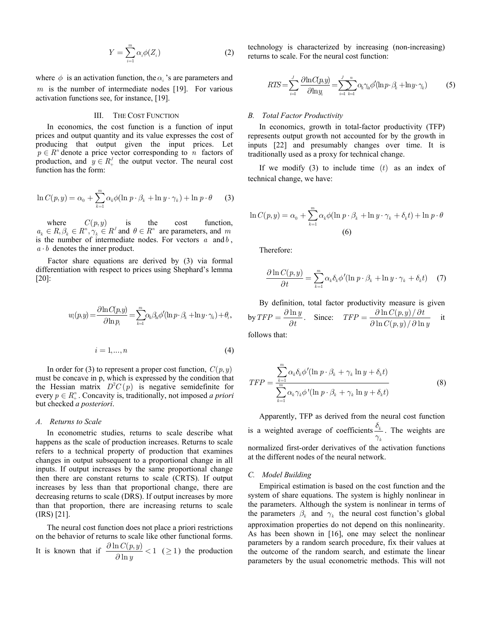$$
Y = \sum_{i=1}^{m} \alpha_i \phi(Z_i)
$$
 (2)

where  $\phi$  is an activation function, the  $\alpha$ <sup>2</sup> s are parameters and *m* is the number of intermediate nodes [19]. For various activation functions see, for instance, [19].

# III. THE COST FUNCTION

In economics, the cost function is a function of input prices and output quantity and its value expresses the cost of producing that output given the input prices. Let  $p \in R^n$  denote a price vector corresponding to *n* factors of production, and  $y \in R_+^J$  the output vector. The neural cost function has the form:

$$
\ln C(p, y) = \alpha_0 + \sum_{k=1}^{m} \alpha_k \phi(\ln p \cdot \beta_k + \ln y \cdot \gamma_k) + \ln p \cdot \theta \qquad (3)
$$

where  $C(p, y)$  is the cost function,  $a_k \in R, \beta_k \in R^n, \gamma_k \in R^J$  and  $\theta \in R^n$  are parameters, and *m* is the number of intermediate nodes. For vectors *a* and*b* ,  $a \cdot b$  denotes the inner product.

 Factor share equations are derived by (3) via formal differentiation with respect to prices using Shephard's lemma [20]:

$$
w_i(p,y) = \frac{\partial \ln C(p,y)}{\partial \ln p_i} = \sum_{k=1}^m \alpha_k \beta_k \phi'(\ln p \cdot \beta_k + \ln y \cdot \gamma_k) + \theta_i,
$$

$$
i = 1, \dots, n \tag{4}
$$

In order for (3) to represent a proper cost function,  $C(p, y)$ must be concave in p, which is expressed by the condition that the Hessian matrix  $D^2C(p)$  is negative semidefinite for every  $p \in R_+^n$ . Concavity is, traditionally, not imposed *a priori* but checked *a posteriori*.

#### *A. Returns to Scale*

In econometric studies, returns to scale describe what happens as the scale of production increases. Returns to scale refers to a technical property of production that examines changes in output subsequent to a proportional change in all inputs. If output increases by the same proportional change then there are constant returns to scale (CRTS). If output increases by less than that proportional change, there are decreasing returns to scale (DRS). If output increases by more than that proportion, there are increasing returns to scale (IRS) [21].

The neural cost function does not place a priori restrictions on the behavior of returns to scale like other functional forms. It is known that if  $\frac{\partial \ln C(p, y)}{\partial \ln y} < 1$  $C(p, y)$ *y*  $\frac{\partial \ln C(p, y)}{\partial \ln y}$  < 1 (21) the production technology is characterized by increasing (non-increasing) returns to scale. For the neural cost function:

$$
RTS = \sum_{i=1}^{J} \frac{\partial \ln C(p, y)}{\partial \ln y_i} = \sum_{i=1}^{J} \sum_{k=1}^{n} \alpha_k \gamma_{k} \phi'(\ln p \cdot \beta_k + \ln y \cdot \gamma_k)
$$
(5)

# *B. Total Factor Productivity*

In economics, growth in total-factor productivity (TFP) represents output growth not accounted for by the growth in inputs [22] and presumably changes over time. It is traditionally used as a proxy for technical change.

If we modify  $(3)$  to include time  $(t)$  as an index of technical change, we have:

$$
\ln C(p, y) = \alpha_0 + \sum_{k=1}^{m} \alpha_k \phi(\ln p \cdot \beta_k + \ln y \cdot \gamma_k + \delta_k t) + \ln p \cdot \theta
$$
  
(6)

Therefore:

$$
\frac{\partial \ln C(p, y)}{\partial t} = \sum_{k=1}^{m} \alpha_k \delta_k \phi'(\ln p \cdot \beta_k + \ln y \cdot \gamma_k + \delta_k t) \quad (7)
$$

By definition, total factor productivity measure is given by  $TFP = \frac{\partial \ln y}{\partial t}$  $=\frac{\partial \ln y}{\partial t}$ . Since:  $TFP = \frac{\partial \ln C(p, y)/\partial t}{\partial \ln C(p, y)/\partial \ln t}$  $TFP = \frac{\partial \ln C(p, y) / \partial t}{\partial \ln C(p, y) / \partial \ln y}$  $=\frac{\partial \ln C(p,y)/\partial t}{\partial \ln C(p,y)/\partial \ln y}$  it

follows that:

$$
TFP = \frac{\sum_{k=1}^{m} \alpha_k \delta_k \phi'(\ln p \cdot \beta_k + \gamma_k \ln y + \delta_k t)}{\sum_{k=1}^{m} \alpha_k \gamma_k \phi'(\ln p \cdot \beta_k + \gamma_k \ln y + \delta_k t)}
$$
(8)

Apparently, TFP as derived from the neural cost function is a weighted average of coefficients  $\frac{v_k}{h}$ *k*  $\delta$ *H* . The weights are normalized first-order derivatives of the activation functions at the different nodes of the neural network.

#### *C. Model Building*

Empirical estimation is based on the cost function and the system of share equations. The system is highly nonlinear in the parameters. Although the system is nonlinear in terms of the parameters  $\beta_k$  and  $\gamma_k$  the neural cost function's global approximation properties do not depend on this nonlinearity. As has been shown in [16], one may select the nonlinear parameters by a random search procedure, fix their values at the outcome of the random search, and estimate the linear parameters by the usual econometric methods. This will not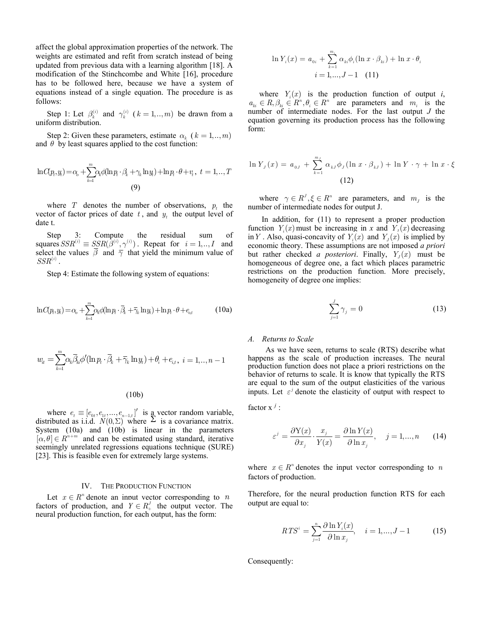affect the global approximation properties of the network. The weights are estimated and refit from scratch instead of being updated from previous data with a learning algorithm [18]. A modification of the Stinchcombe and White [16], procedure has to be followed here, because we have a system of equations instead of a single equation. The procedure is as follows:

Step 1: Let  $\beta_k^{(i)}$  and  $\gamma_k^{(i)}$  ( $k = 1, ..., m$ ) be drawn from a uniform distribution.

Step 2: Given these parameters, estimate  $\alpha_k$  ( $k = 1, ..., m$ ) and  $\theta$  by least squares applied to the cost function:

$$
\ln C(p_t, y_t) = \alpha_0 + \sum_{k=1}^m \alpha_k \phi(\ln p_t \cdot \beta_k + \gamma_k \ln y_t) + \ln p_t \cdot \theta + v_t, \ t = 1, ..., T
$$
\n(9)

where  $T$  denotes the number of observations,  $p_t$  the vector of factor prices of date  $t$ , and  $y_t$  the output level of date t.

Step 3: Compute the residual sum of squares  $SSR^{(i)} \equiv SSR(\beta^{(i)}, \gamma^{(i)})$ . Repeat for  $i = 1, ..., I$  and select the values  $\beta$  and  $\overline{\gamma}$  that yield the minimum value of  $SSR^{(i)}$  .

Step 4: Estimate the following system of equations:

$$
\ln C(p_t, y_t) = \alpha_0 + \sum_{k=1}^{m} \alpha_k \phi(\ln p_t \cdot \overline{\beta}_k + \overline{\gamma}_k \ln y_t) + \ln p_t \cdot \theta + e_{\alpha t} \tag{10a}
$$

$$
w_{it} = \sum_{k=1}^{m} \alpha_k \overline{\beta}_{ki} \phi'(\ln p_t \cdot \overline{\beta}_k + \overline{\gamma}_k \ln y_t) + \theta_i + e_{i,t}, \ i = 1, ..., n-1
$$

 $(10b)$ 

where  $e_t \equiv [e_{0t}, e_{1t}, \dots, e_{n-1,t}]'$  is a vector random variable, distributed as i.i.d.  $N(0, \Sigma)$  where  $\Sigma$  is a covariance matrix. System (10a) and (10b) is linear in the parameters  $[\alpha, \theta] \in R^{n+m}$  and can be estimated using standard, iterative seemingly unrelated regressions equations technique (SURE) [23]. This is feasible even for extremely large systems.

#### IV. THE PRODUCTION FUNCTION

Let  $x \in \mathbb{R}^n$  denote an input vector corresponding to *n* factors of production, and  $Y \in R_+^J$  the output vector. The neural production function, for each output, has the form:

$$
\ln Y_i(x) = a_{0i} + \sum_{k=1}^{m_i} \alpha_{ki} \phi_i (\ln x \cdot \beta_{ki}) + \ln x \cdot \theta_i
$$
  

$$
i = 1,...,J-1 \quad (11)
$$

where  $Y_i(x)$  is the production function of output *i*,  $a_{ki} \in R, \beta_{ki} \in R^n, \theta_i \in R^n$  are parameters and  $m_i$  is the number of intermediate nodes. For the last output *J* the equation governing its production process has the following form:

$$
\ln Y_J(x) = a_{0J} + \sum_{k=1}^{m_J} \alpha_{kJ} \phi_J(\ln x \cdot \beta_{kJ}) + \ln Y \cdot \gamma + \ln x \cdot \xi
$$
\n(12)

where  $\gamma \in R^J, \xi \in R^n$  are parameters, and  $m_J$  is the number of intermediate nodes for output J.

 In addition, for (11) to represent a proper production function  $Y_i(x)$  must be increasing in *x* and  $Y_i(x)$  decreasing in *Y*. Also, quasi-concavity of  $Y_i(x)$  and  $Y_j(x)$  is implied by economic theory. These assumptions are not imposed *a priori* but rather checked *a posteriori*. Finally,  $Y_J(x)$  must be homogeneous of degree one, a fact which places parametric restrictions on the production function. More precisely, homogeneity of degree one implies:

$$
\sum_{j=1}^{J} \gamma_j = 0 \tag{13}
$$

#### *A. Returns to Scale*

 As we have seen, returns to scale (RTS) describe what happens as the scale of production increases. The neural production function does not place a priori restrictions on the behavior of returns to scale. It is know that typically the RTS are equal to the sum of the output elasticities of the various inputs. Let  $\varepsilon^j$  denote the elasticity of output with respect to

factor  $x^j$  :

$$
\varepsilon^{j} = \frac{\partial Y(x)}{\partial x_{j}} \cdot \frac{x_{j}}{Y(x)} = \frac{\partial \ln Y(x)}{\partial \ln x_{j}}, \quad j = 1, ..., n \quad (14)
$$

where  $x \in R^n$  denotes the input vector corresponding to *n* factors of production.

Therefore, for the neural production function RTS for each output are equal to:

$$
RTS^{i} = \sum_{j=1}^{n} \frac{\partial \ln Y_{i}(x)}{\partial \ln x_{j}}, \quad i = 1, ..., J - 1
$$
 (15)

Consequently: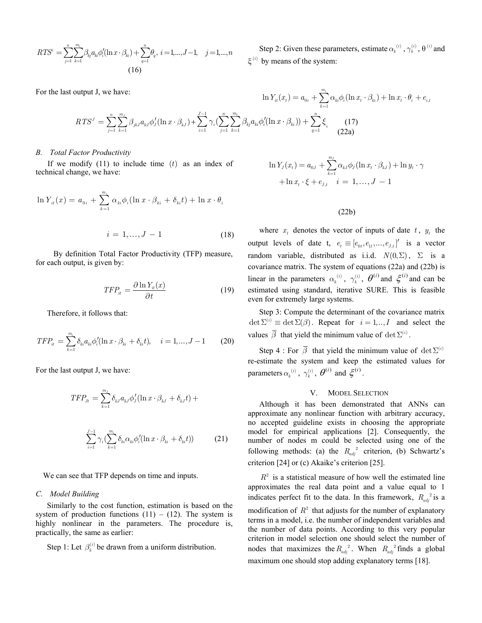$$
RTS^{i} = \sum_{j=1}^{n} \sum_{k=1}^{m_{i}} \beta_{kj} a_{ki} \phi'_{i} (\ln x \cdot \beta_{ki}) + \sum_{q=1}^{n} \theta_{q}, \ i = 1, ..., J-1, \quad j = 1, ..., n
$$
\n(16)

Step 2: Given these parameters, estimate  $\alpha_k^{(i)}$ ,  $\gamma_k^{(i)}$ ,  $\theta^{(i)}$  and  $\xi^{(i)}$  by means of the system:

*mi*

For the last output J, we have:

$$
\ln Y_{it}(x_t) = a_{0i} + \sum_{k=1}^n \alpha_{ki} \phi_i (\ln x_t \cdot \beta_{ki}) + \ln x_t \cdot \theta_i + e_{i,t}
$$
  

$$
RTS^J = \sum_{j=1}^n \sum_{k=1}^{m_j} \beta_{jkJ} a_{kj} \phi'_J (\ln x \cdot \beta_{kj}) + \sum_{i=1}^{J-1} \gamma_i (\sum_{j=1}^n \sum_{k=1}^{m_i} \beta_{kj} a_{ki} \phi'_i (\ln x \cdot \beta_{ki})) + \sum_{q=1}^n \xi_q
$$
 (17) (22a)

# *B. Total Factor Productivity*

If we modify  $(11)$  to include time  $(t)$  as an index of technical change, we have:

$$
\ln Y_{it}(x) = a_{0i} + \sum_{k=1}^{m_i} \alpha_{ki} \phi_i (\ln x \cdot \beta_{ki} + \delta_{ki} t) + \ln x \cdot \theta_i
$$

$$
i = 1, ..., J - 1 \tag{18}
$$

 By definition Total Factor Productivity (TFP) measure, for each output, is given by:

$$
TFP_{it} = \frac{\partial \ln Y_{it}(x)}{\partial t} \tag{19}
$$

Therefore, it follows that:

$$
TFP_{it} = \sum_{k=1}^{m_i} \delta_{ki} a_{ki} \phi_i' (\ln x \cdot \beta_{ki} + \delta_{ki} t), \quad i = 1, ..., J - 1 \tag{20}
$$

For the last output J, we have:

$$
\mathit{TFP}_{Jt} = \sum_{k=1}^{m_J} \delta_{kJ} a_{kJ} \phi'_J (\ln x \cdot \beta_{kJ} + \delta_{kJ} t) +
$$

$$
\sum_{i=1}^{J-1} \gamma_i \left( \sum_{k=1}^{m_i} \delta_{ki} \alpha_{ki} \phi'_i (\ln x \cdot \beta_{ki} + \delta_{ki} t) \right) \tag{21}
$$

We can see that TFP depends on time and inputs.

# *C. Model Building*

Similarly to the cost function, estimation is based on the system of production functions  $(11) - (12)$ . The system is highly nonlinear in the parameters. The procedure is, practically, the same as earlier:

Step 1: Let  $\beta_k^{(i)}$  be drawn from a uniform distribution.

$$
\ln Y_{J}(x_{t}) = a_{0J} + \sum_{k=1}^{m_{J}} \alpha_{kJ} \phi_{J}(\ln x_{t} \cdot \beta_{kJ}) + \ln y_{t} \cdot \gamma + \ln x_{t} \cdot \xi + e_{J,t} \quad i = 1, ..., J - 1
$$

# $(22b)$

where  $x_t$  denotes the vector of inputs of date  $t$ ,  $y_t$  the output levels of date t,  $e_t \equiv [e_{0t}, e_{1t}, \dots, e_{J,t}]'$  is a vector random variable, distributed as i.i.d.  $N(0, \Sigma)$ ,  $\Sigma$  is a covariance matrix. The system of equations (22a) and (22b) is linear in the parameters  $\alpha_k^{(i)}$ ,  $\gamma_k^{(i)}$ ,  $\theta^{(i)}$  and  $\xi^{(i)}$  and can be estimated using standard, iterative SURE. This is feasible even for extremely large systems.

Step 3: Compute the determinant of the covariance matrix  $\det \Sigma^{(i)} \equiv \det \Sigma(\beta)$ . Repeat for  $i = 1,.., I$  and select the values  $\bar{\beta}$  that yield the minimum value of  $\det \Sigma^{(i)}$ .

Step 4 : For  $\overline{\beta}$  that yield the minimum value of  $\det \Sigma^{(i)}$ re-estimate the system and keep the estimated values for parameters  $\alpha_k^{(i)}$ ,  $\gamma_k^{(i)}$ ,  $\theta^{(i)}$  and  $\xi^{(i)}$ .

# V. MODEL SELECTION

Although it has been demonstrated that ANNs can approximate any nonlinear function with arbitrary accuracy, no accepted guideline exists in choosing the appropriate model for empirical applications [2]. Consequently, the number of nodes m could be selected using one of the following methods: (a) the  $R_{adi}^2$  criterion, (b) Schwartz's criterion [24] or (c) Akaike's criterion [25].

 $R<sup>2</sup>$  is a statistical measure of how well the estimated line approximates the real data point and a value equal to 1 indicates perfect fit to the data. In this framework,  $R_{adi}^2$  is a modification of  $R^2$  that adjusts for the number of explanatory terms in a model, i.e. the number of independent variables and the number of data points. According to this very popular criterion in model selection one should select the number of nodes that maximizes the  $R_{adi}^2$ . When  $R_{adi}^2$  finds a global maximum one should stop adding explanatory terms [18].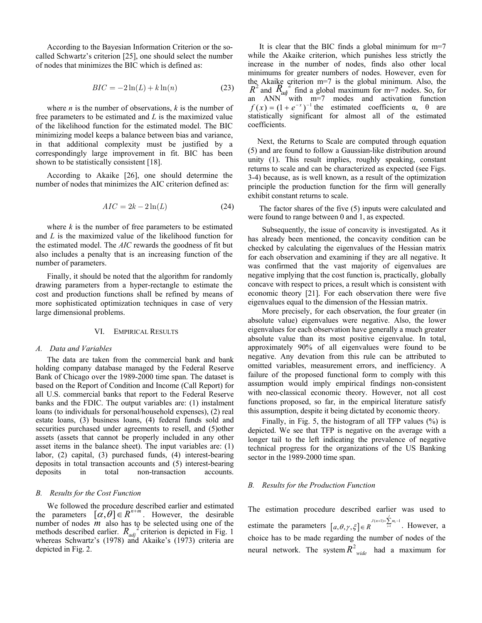According to the Bayesian Information Criterion or the socalled Schwartz's criterion [25], one should select the number of nodes that minimizes the BIC which is defined as:

$$
BIC = -2\ln(L) + k\ln(n) \tag{23}
$$

where *n* is the number of observations,  $k$  is the number of free parameters to be estimated and *L* is the maximized value of the likelihood function for the estimated model. The BIC minimizing model keeps a balance between bias and variance, in that additional complexity must be justified by a correspondingly large improvement in fit. BIC has been shown to be statistically consistent [18].

According to Akaike [26], one should determine the number of nodes that minimizes the AIC criterion defined as:

$$
AIC = 2k - 2\ln(L) \tag{24}
$$

where  $k$  is the number of free parameters to be estimated and *L* is the maximized value of the likelihood function for the estimated model. The *AIC* rewards the goodness of fit but also includes a penalty that is an increasing function of the number of parameters.

Finally, it should be noted that the algorithm for randomly drawing parameters from a hyper-rectangle to estimate the cost and production functions shall be refined by means of more sophisticated optimization techniques in case of very large dimensional problems.

#### VI. EMPIRICAL RESULTS

#### *A. Data and Variables*

The data are taken from the commercial bank and bank holding company database managed by the Federal Reserve Bank of Chicago over the 1989-2000 time span. The dataset is based on the Report of Condition and Income (Call Report) for all U.S. commercial banks that report to the Federal Reserve banks and the FDIC. The output variables are: (1) instalment loans (to individuals for personal/household expenses), (2) real estate loans, (3) business loans, (4) federal funds sold and securities purchased under agreements to resell, and (5)other assets (assets that cannot be properly included in any other asset items in the balance sheet). The input variables are: (1) labor, (2) capital, (3) purchased funds, (4) interest-bearing deposits in total transaction accounts and (5) interest-bearing deposits in total non-transaction accounts.

# *Ǻ. Results for the Cost Function*

We followed the procedure described earlier and estimated the parameters  $[\alpha, \theta] \in R^{n+m}$ . However, the desirable number of nodes  $\overline{m}$  also has to be selected using one of the methods described earlier.  $R_{adj}^2$  criterion is depicted in Fig. 1 whereas Schwartz's (1978) and Akaike's (1973) criteria are depicted in Fig. 2.

It is clear that the BIC finds a global minimum for m=7 while the Akaike criterion, which punishes less strictly the increase in the number of nodes, finds also other local minimums for greater numbers of nodes. However, even for the Akaike criterion m=7 is the global minimum. Also, the  $R^2$  and  $R_{\alpha}$ <sup>2</sup> find a global maximum for m=7 nodes. So, for an ANN with m=7 modes and activation function  $f(x) = (1 + e^{-x})^{-1}$  the estimated coefficients  $\alpha$ ,  $\theta$  are statistically significant for almost all of the estimated coefficients.

Next, the Returns to Scale are computed through equation (5) and are found to follow a Gaussian-like distribution around unity (1). This result implies, roughly speaking, constant returns to scale and can be characterized as expected (see Figs. 3-4) because, as is well known, as a result of the optimization principle the production function for the firm will generally exhibit constant returns to scale.

The factor shares of the five (5) inputs were calculated and were found to range between 0 and 1, as expected.

Subsequently, the issue of concavity is investigated. As it has already been mentioned, the concavity condition can be checked by calculating the eigenvalues of the Hessian matrix for each observation and examining if they are all negative. It was confirmed that the vast majority of eigenvalues are negative implying that the cost function is, practically, globally concave with respect to prices, a result which is consistent with economic theory [21]. For each observation there were five eigenvalues equal to the dimension of the Hessian matrix.

More precisely, for each observation, the four greater (in absolute value) eigenvalues were negative. Also, the lower eigenvalues for each observation have generally a much greater absolute value than its most positive eigenvalue. In total, approximately 90% of all eigenvalues were found to be negative. Any devation from this rule can be attributed to omitted variables, measurement errors, and inefficiency. A failure of the proposed functional form to comply with this assumption would imply empirical findings non-consistent with neo-classical economic theory. However, not all cost functions proposed, so far, in the empirical literature satisfy this assumption, despite it being dictated by economic theory.

Finally, in Fig. 5, the histogram of all TFP values (%) is depicted. We see that TFP is negative on the average with a longer tail to the left indicating the prevalence of negative technical progress for the organizations of the US Banking sector in the 1989-2000 time span.

#### *B. Results for the Production Function*

The estimation procedure described earlier was used to estimate the parameters  $[a, \theta, \gamma, \xi] \in R$  $[a, \theta, \gamma, \xi] \in R$ <sup>*J*(*n*+1)+ $\sum_{i=1}^{j} m_i - 1$ . However, a</sup> choice has to be made regarding the number of nodes of the neural network. The system  $R^2$  had a maximum for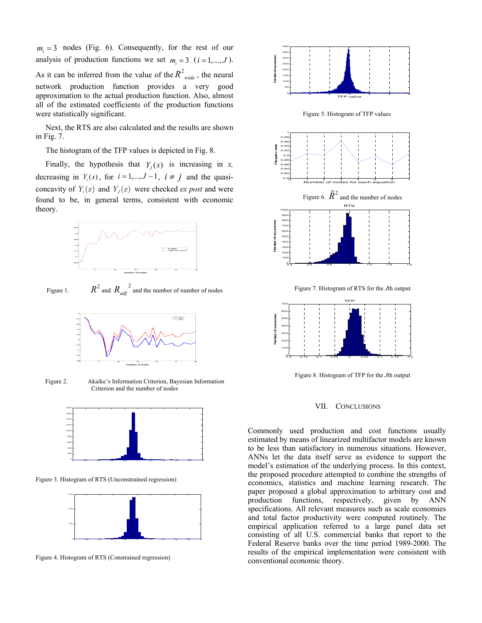$m_i = 3$  nodes (Fig. 6). Consequently, for the rest of our analysis of production functions we set  $m_i = 3$  ( $i = 1, ..., J$ ). As it can be inferred from the value of the  $R^2_{\text{wide}}$ , the neural network production function provides a very good approximation to the actual production function. Also, almost all of the estimated coefficients of the production functions were statistically significant.

 Next, the RTS are also calculated and the results are shown in Fig. 7.

The histogram of the TFP values is depicted in Fig. 8.

Finally, the hypothesis that  $Y_J(x)$  is increasing in *x*, decreasing in  $Y_i(x)$ , for  $i = 1,..., J-1$ ,  $i \neq j$  and the quasiconcavity of  $Y_i(x)$  and  $Y_j(x)$  were checked *ex post* and were found to be, in general terms, consistent with economic theory.



Figure 1.  $R^2$  and  $R_{adj}^2$  and the number of number of nodes



Figure 2. Akaike's Information Criterion, Bayesian Information Criterion and the number of nodes



Figure 3. Histogram of RTS (Unconstrained regression)



Figure 4. Histogram of RTS (Constrained regression)



Figure 5. Histogram of TFP values



Figure 7. Histogram of RTS for the *J*th output



Figure 8. Histogram of TFP for the *J*th output

#### VII. CONCLUSIONS

Commonly used production and cost functions usually estimated by means of linearized multifactor models are known to be less than satisfactory in numerous situations. However, ANNs let the data itself serve as evidence to support the model's estimation of the underlying process. In this context, the proposed procedure attempted to combine the strengths of economics, statistics and machine learning research. The paper proposed a global approximation to arbitrary cost and production functions, respectively, given by ANN specifications. All relevant measures such as scale economies and total factor productivity were computed routinely. The empirical application referred to a large panel data set consisting of all U.S. commercial banks that report to the Federal Reserve banks over the time period 1989-2000. The results of the empirical implementation were consistent with conventional economic theory.